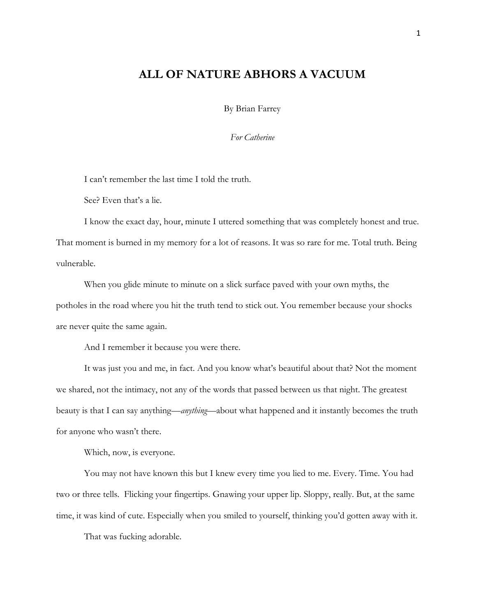## **ALL OF NATURE ABHORS A VACUUM**

By Brian Farrey

*For Catherine*

I can't remember the last time I told the truth.

See? Even that's a lie.

I know the exact day, hour, minute I uttered something that was completely honest and true. That moment is burned in my memory for a lot of reasons. It was so rare for me. Total truth. Being vulnerable.

When you glide minute to minute on a slick surface paved with your own myths, the potholes in the road where you hit the truth tend to stick out. You remember because your shocks are never quite the same again.

And I remember it because you were there.

It was just you and me, in fact. And you know what's beautiful about that? Not the moment we shared, not the intimacy, not any of the words that passed between us that night. The greatest beauty is that I can say anything—*anything*—about what happened and it instantly becomes the truth for anyone who wasn't there.

Which, now, is everyone.

You may not have known this but I knew every time you lied to me. Every. Time. You had two or three tells. Flicking your fingertips. Gnawing your upper lip. Sloppy, really. But, at the same time, it was kind of cute. Especially when you smiled to yourself, thinking you'd gotten away with it.

That was fucking adorable.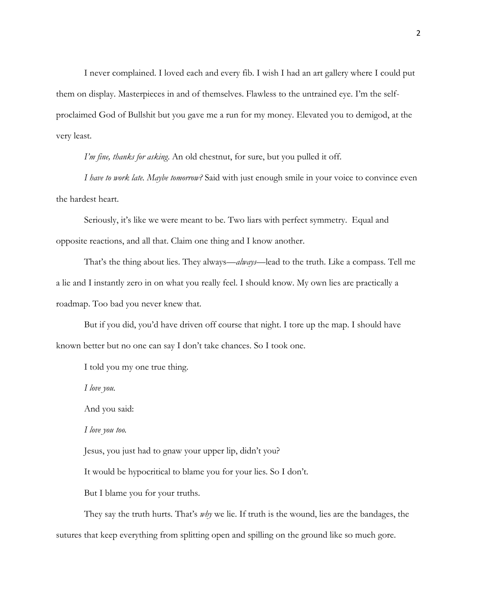I never complained. I loved each and every fib. I wish I had an art gallery where I could put them on display. Masterpieces in and of themselves. Flawless to the untrained eye. I'm the selfproclaimed God of Bullshit but you gave me a run for my money. Elevated you to demigod, at the very least.

*I'm fine, thanks for asking*. An old chestnut, for sure, but you pulled it off.

*I have to work late. Maybe tomorrow?* Said with just enough smile in your voice to convince even the hardest heart.

Seriously, it's like we were meant to be. Two liars with perfect symmetry. Equal and opposite reactions, and all that. Claim one thing and I know another.

That's the thing about lies. They always—*always*—lead to the truth. Like a compass. Tell me a lie and I instantly zero in on what you really feel. I should know. My own lies are practically a roadmap. Too bad you never knew that.

But if you did, you'd have driven off course that night. I tore up the map. I should have known better but no one can say I don't take chances. So I took one.

I told you my one true thing.

*I love you.*

And you said:

*I love you too.*

Jesus, you just had to gnaw your upper lip, didn't you?

It would be hypocritical to blame you for your lies. So I don't.

But I blame you for your truths.

They say the truth hurts. That's *why* we lie. If truth is the wound, lies are the bandages, the sutures that keep everything from splitting open and spilling on the ground like so much gore.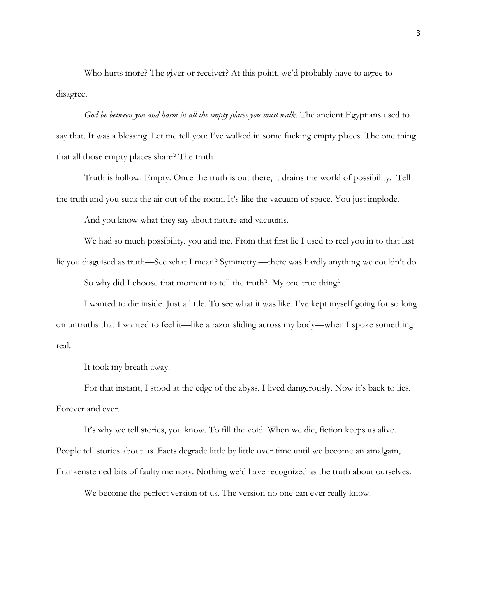Who hurts more? The giver or receiver? At this point, we'd probably have to agree to disagree.

*God be between you and harm in all the empty places you must walk.* The ancient Egyptians used to say that. It was a blessing. Let me tell you: I've walked in some fucking empty places. The one thing that all those empty places share? The truth.

Truth is hollow. Empty. Once the truth is out there, it drains the world of possibility. Tell the truth and you suck the air out of the room. It's like the vacuum of space. You just implode.

And you know what they say about nature and vacuums.

We had so much possibility, you and me. From that first lie I used to reel you in to that last lie you disguised as truth—See what I mean? Symmetry.—there was hardly anything we couldn't do.

So why did I choose that moment to tell the truth? My one true thing?

I wanted to die inside. Just a little. To see what it was like. I've kept myself going for so long on untruths that I wanted to feel it—like a razor sliding across my body—when I spoke something real.

It took my breath away.

For that instant, I stood at the edge of the abyss. I lived dangerously. Now it's back to lies. Forever and ever.

It's why we tell stories, you know. To fill the void. When we die, fiction keeps us alive. People tell stories about us. Facts degrade little by little over time until we become an amalgam, Frankensteined bits of faulty memory. Nothing we'd have recognized as the truth about ourselves.

We become the perfect version of us. The version no one can ever really know.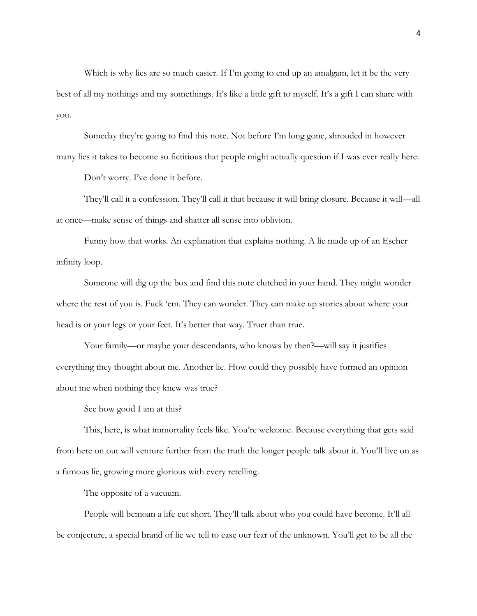Which is why lies are so much easier. If I'm going to end up an amalgam, let it be the very best of all my nothings and my somethings. It's like a little gift to myself. It's a gift I can share with you.

Someday they're going to find this note. Not before I'm long gone, shrouded in however many lies it takes to become so fictitious that people might actually question if I was ever really here.

Don't worry. I've done it before.

They'll call it a confession. They'll call it that because it will bring closure. Because it will—all at once—make sense of things and shatter all sense into oblivion.

Funny how that works. An explanation that explains nothing. A lie made up of an Escher infinity loop.

Someone will dig up the box and find this note clutched in your hand. They might wonder where the rest of you is. Fuck 'em. They can wonder. They can make up stories about where your head is or your legs or your feet. It's better that way. Truer than true.

Your family—or maybe your descendants, who knows by then?—will say it justifies everything they thought about me. Another lie. How could they possibly have formed an opinion about me when nothing they knew was true?

See how good I am at this?

This, here, is what immortality feels like. You're welcome. Because everything that gets said from here on out will venture further from the truth the longer people talk about it. You'll live on as a famous lie, growing more glorious with every retelling.

The opposite of a vacuum.

People will bemoan a life cut short. They'll talk about who you could have become. It'll all be conjecture, a special brand of lie we tell to ease our fear of the unknown. You'll get to be all the